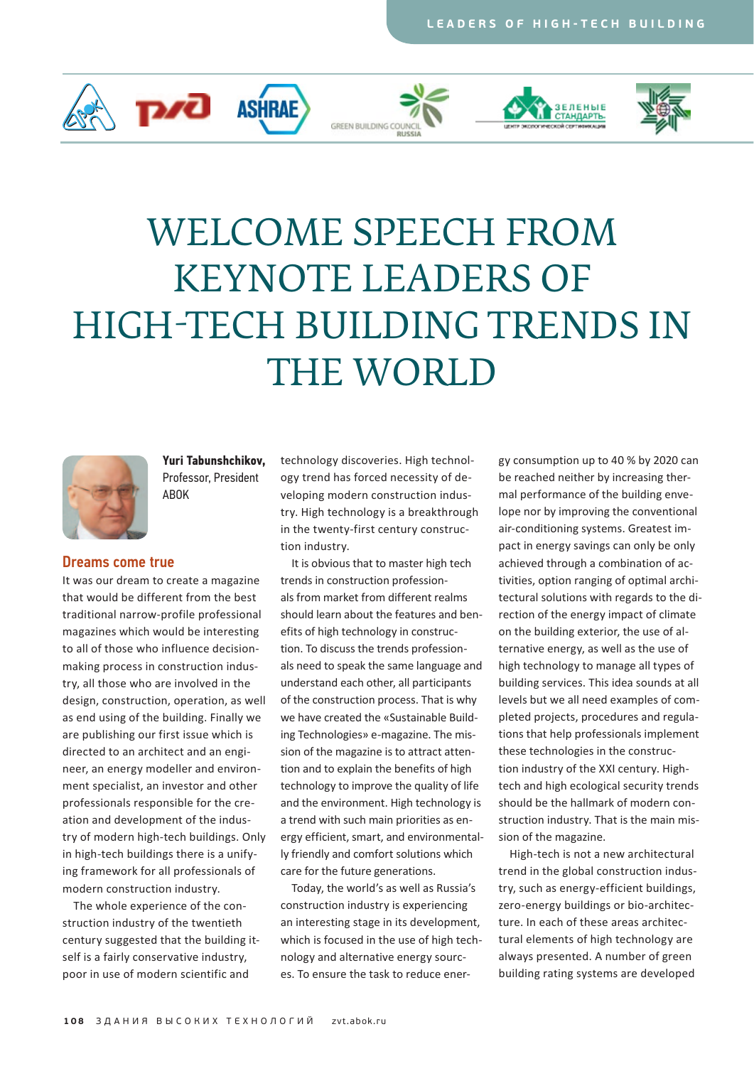









# Welcome Speech from Keynote Leaders of High-Tech Building Trends in THE WORLD



**[Yuri Tabunshchikov,](http://ru.wikipedia.org/wiki/%D0%A2%D0%B0%D0%B1%D1%83%D0%BD%D1%89%D0%B8%D0%BA%D0%BE%D0%B2,_%D0%AE%D1%80%D0%B8%D0%B9_%D0%90%D0%BD%D0%B4%D1%80%D0%B5%D0%B5%D0%B2%D0%B8%D1%87)**  Professor, President [ABOK](http://www.abok.ru/eng)

#### Dreams come true

It was our dream to create a magazine that would be different from the best traditional narrow-profile professional magazines which would be interesting to all of those who influence decisionmaking process in construction industry, all those who are involved in the design, construction, operation, as well as end using of the building. Finally we are publishing our first issue which is directed to an architect and an engineer, an energy modeller and environment specialist, an investor and other professionals responsible for the creation and development of the industry of modern high-tech buildings. Only in high-tech buildings there is a unifying framework for all professionals of modern construction industry.

The whole experience of the construction industry of the twentieth century suggested that the building itself is a fairly conservative industry, poor in use of modern scientific and

technology discoveries. High technology trend has forced necessity of developing modern construction industry. High technology is a breakthrough in the twenty-first century construction industry.

It is obvious that to master high tech trends in construction professionals from market from different realms should learn about the features and benefits of high technology in construction. To discuss the trends professionals need to speak the same language and understand each other, all participants of the construction process. That is why [we have created the «Sustainable Build](zvt.abok.ru)ing Technologies» e-magazine. The mission of the magazine is to attract attention and to explain the benefits of high technology to improve the quality of life and the environment. High technology is a trend with such main priorities as energy efficient, smart, and environmentally friendly and comfort solutions which care for the future generations.

Today, the world's as well as Russia's construction industry is experiencing an interesting stage in its development, which is focused in the use of high technology and alternative energy sources. To ensure the task to reduce ener-

gy consumption up to 40 % by 2020 can be reached neither by increasing thermal performance of the building envelope nor by improving the conventional air-conditioning systems. Greatest impact in energy savings can only be only achieved through a combination of activities, option ranging of optimal architectural solutions with regards to the direction of the energy impact of climate on the building exterior, the use of alternative energy, as well as the use of high technology to manage all types of building services. This idea sounds at all levels but we all need examples of completed projects, procedures and regulations that help professionals implement these technologies in the construction industry of the XXI century. Hightech and high ecological security trends should be the hallmark of modern construction industry. That is the main mission of the magazine.

High-tech is not a new architectural trend in the global construction industry, such as energy-efficient buildings, zero-energy buildings or bio-architecture. In each of these areas architectural elements of high technology are always presented. A number of green building rating systems are developed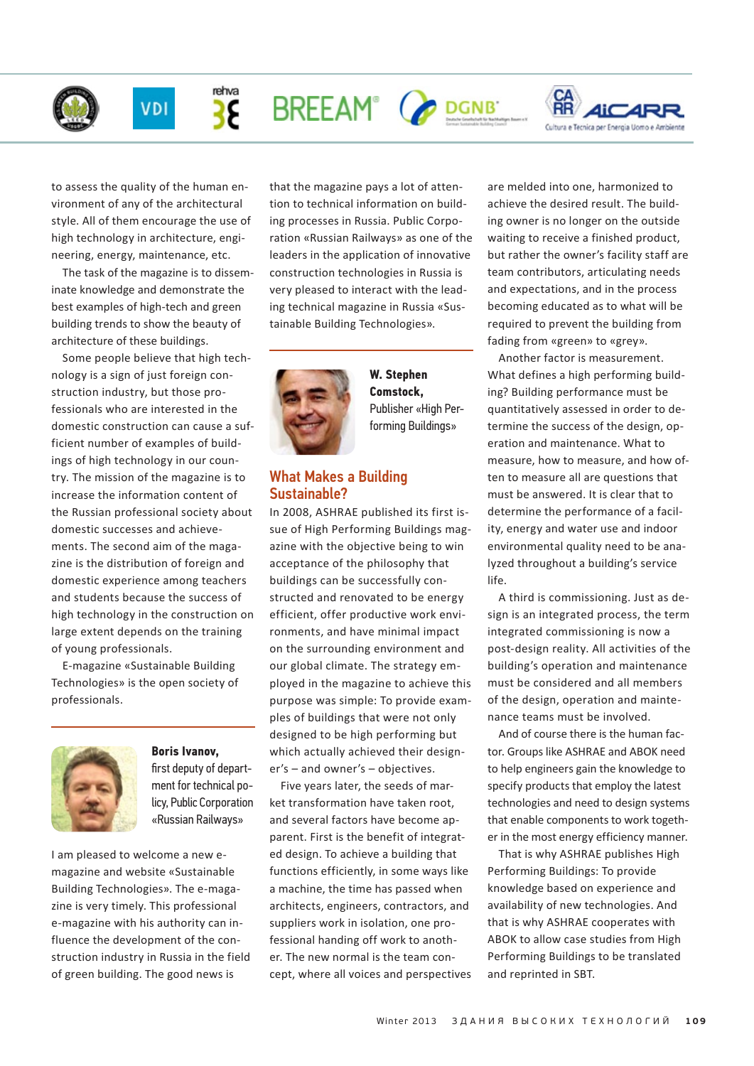

rehva

38





to assess the quality of the human environment of any of the architectural style. All of them encourage the use of high technology in architecture, engineering, energy, maintenance, etc.

The task of the magazine is to disseminate knowledge and demonstrate the best examples of high-tech and green building trends to show the beauty of architecture of these buildings.

Some people believe that high technology is a sign of just foreign construction industry, but those professionals who are interested in the domestic construction can cause a sufficient number of examples of buildings of high technology in our country. The mission of the magazine is to increase the information content of the Russian professional society about domestic successes and achievements. The second aim of the magazine is the distribution of foreign and domestic experience among teachers and students because the success of high technology in the construction on large extent depends on the training of young professionals.

E-magazine «Sustainable Building [Technologies» is the open society of](zvt.abok.ru)  professionals.



# **Boris Ivanov,** first deputy of department for technical po[licy, Public Corporation](http://rzd.ru/)  «Russian Railways»

I am pleased to welcome a new emagazine and website «Sustainable Building Technologies». The e-magazine is very timely. This professional e-magazine with his authority can influence the development of the construction industry in Russia in the field of green building. The good news is

that the magazine pays a lot of attention to technical information on building processes in Russia. Public Corporation «Russian Railways» as one of the leaders in the application of innovative construction technologies in Russia is very pleased to interact with the lead[ing technical magazine in Russia «Sus](zvt.abok.ru)tainable Building Technologies».



**W. Stephen Comstock,**  [Publisher «High Per](http://hpbmagazine.org/)forming Buildings»

# What Makes a Building Sustainable?

In 2008, ASHRAE published its first issue of High Performing Buildings magazine with the objective being to win acceptance of the philosophy that buildings can be successfully constructed and renovated to be energy efficient, offer productive work environments, and have minimal impact on the surrounding environment and our global climate. The strategy employed in the magazine to achieve this purpose was simple: To provide examples of buildings that were not only designed to be high performing but which actually achieved their designer's – and owner's – objectives.

Five years later, the seeds of market transformation have taken root, and several factors have become apparent. First is the benefit of integrated design. To achieve a building that functions efficiently, in some ways like a machine, the time has passed when architects, engineers, contractors, and suppliers work in isolation, one professional handing off work to another. The new normal is the team concept, where all voices and perspectives are melded into one, harmonized to achieve the desired result. The building owner is no longer on the outside waiting to receive a finished product, but rather the owner's facility staff are team contributors, articulating needs and expectations, and in the process becoming educated as to what will be required to prevent the building from fading from «green» to «grey».

Another factor is measurement. What defines a high performing building? Building performance must be quantitatively assessed in order to determine the success of the design, operation and maintenance. What to measure, how to measure, and how often to measure all are questions that must be answered. It is clear that to determine the performance of a facility, energy and water use and indoor environmental quality need to be analyzed throughout a building's service life.

A third is commissioning. Just as design is an integrated process, the term integrated commissioning is now a post-design reality. All activities of the building's operation and maintenance must be considered and all members of the design, operation and maintenance teams must be involved.

And of course there is the human factor. Groups like ASHRAE and ABOK need to help engineers gain the knowledge to specify products that employ the latest technologies and need to design systems that enable components to work together in the most energy efficiency manner.

That is why ASHRAE publishes High Performing Buildings: To provide knowledge based on experience and availability of new technologies. And that is why ASHRAE cooperates with ABOK to allow case studies from High Performing Buildings to be translated and reprinted in [SBT.](zvt.abok.ru)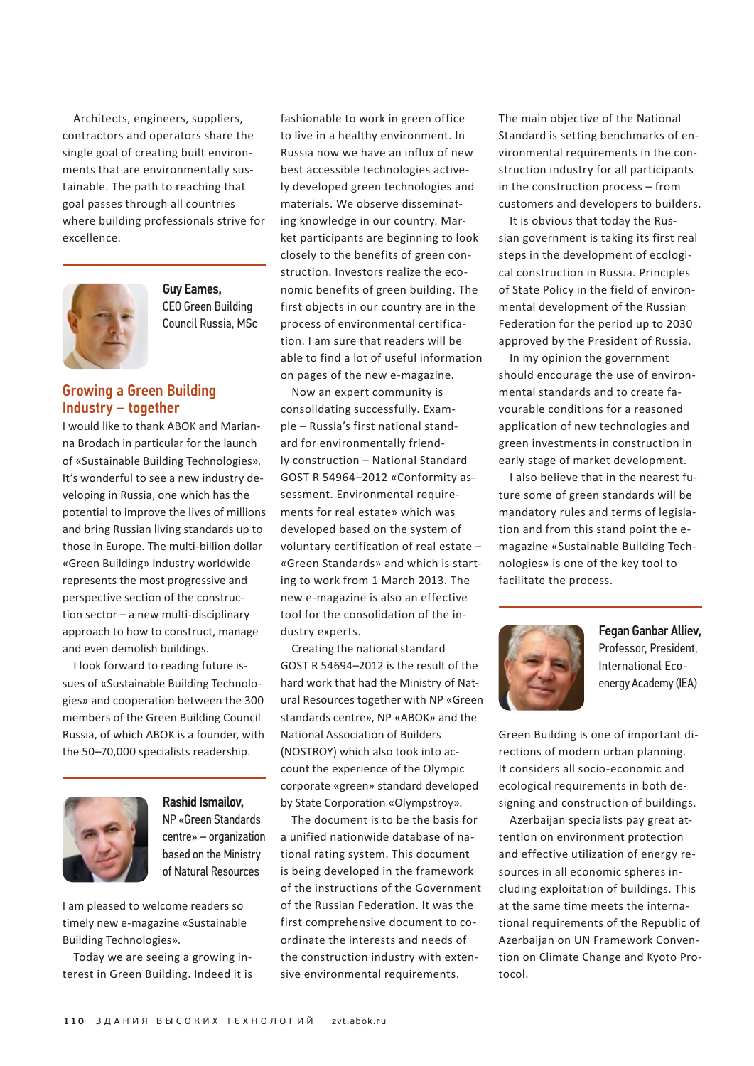Architects, engineers, suppliers, contractors and operators share the single goal of creating built environments that are environmentally sustainable. The path to reaching that goal passes through all countries where building professionals strive for excellence.



Guy Eames, CEO Green Building [Council Russia, MSc](http://www.rugbc.org)

# Growing a Green Building Industry – together

I would like to than[k ABOK a](http://www.abok.ru/eng)nd Marianna Brodach in particular for the launch of [«Sustainable Building Technologies».](zvt.abok.ru)  It's wonderful to see a new industry developing in Russia, one which has the potential to improve the lives of millions and bring Russian living standards up to those in Europe. The multi-billion dollar «Green Building» Industry worldwide represents the most progressive and perspective section of the construction sector – a new multi-disciplinary approach to how to construct, manage and even demolish buildings.

I look forward to reading future issues of «Sustainable Building Technolo[gies» and cooperation between the 300](zvt.abok.ru)  members of the Green Building Council Russia, of which ABOK is a founder, with the 50–70,000 specialists readership.



# Rashid Ismailov, NP «Green Standards [centre» – organization](http://www.greenstand.ru/)  based on the Ministry of Natural Resources

I am pleased to welcome readers so [timely new e-magazine «Sustainable](zvt.abok.ru)  Building Technologies».

Today we are seeing a growing interest in Green Building. Indeed it is fashionable to work in green office to live in a healthy environment. In Russia now we have an influx of new best accessible technologies actively developed green technologies and materials. We observe disseminating knowledge in our country. Market participants are beginning to look closely to the benefits of green construction. Investors realize the economic benefits of green building. The first objects in our country are in the process of environmental certification. I am sure that readers will be able to find a lot of useful information on pages of the new e-magazine.

Now an expert community is consolidating successfully. Example – Russia's first national standard for environmentally friendly construction – National Standard GOST R 54964–2012 «Conformity assessment. Environmental requirements for real estate» which was developed based on the system of voluntary certification of real estate – «Green Standards» and which is starting to work from 1 March 2013. The new e-magazine is also an effective tool for the consolidation of the industry experts.

Creating the national standard GOST R 54694–2012 is the result of the hard work that had the Ministry of Natural Resources together with NP «Green standards centre», [NP «ABOK»](http://www.abok.ru/eng) and the National Association of Builders (NOSTROY) which also took into account the experience of the Olympic corporate «green» standard developed by State Corporation «Olympstroy».

The document is to be the basis for a unified nationwide database of national rating system. This document is being developed in the framework of the instructions of the Government of the Russian Federation. It was the first comprehensive document to coordinate the interests and needs of the construction industry with extensive environmental requirements.

The main objective of the National Standard is setting benchmarks of environmental requirements in the construction industry for all participants in the construction process – from customers and developers to builders.

It is obvious that today the Russian government is taking its first real steps in the development of ecological construction in Russia. Principles of State Policy in the field of environmental development of the Russian Federation for the period up to 2030 approved by the President of Russia.

In my opinion the government should encourage the use of environmental standards and to create favourable conditions for a reasoned application of new technologies and green investments in construction in early stage of market development.

I also believe that in the nearest future some of green standards will be mandatory rules and terms of legislation and from this stand point the e[magazine «Sustainable Building Tech](zvt.abok.ru)nologies» is one of the key tool to facilitate the process.



# Fegan Ganbar Alliev, Professor, President, International Ecoenergy Academy (IEA)

Green Building is one of important directions of modern urban planning. It considers all socio-economic and ecological requirements in both designing and construction of buildings.

Azerbaijan specialists pay great attention on environment protection and effective utilization of energy resources in all economic spheres including exploitation of buildings. This at the same time meets the international requirements of the Republic of Azerbaijan on UN Framework Convention on Climate Change and Kyoto Protocol.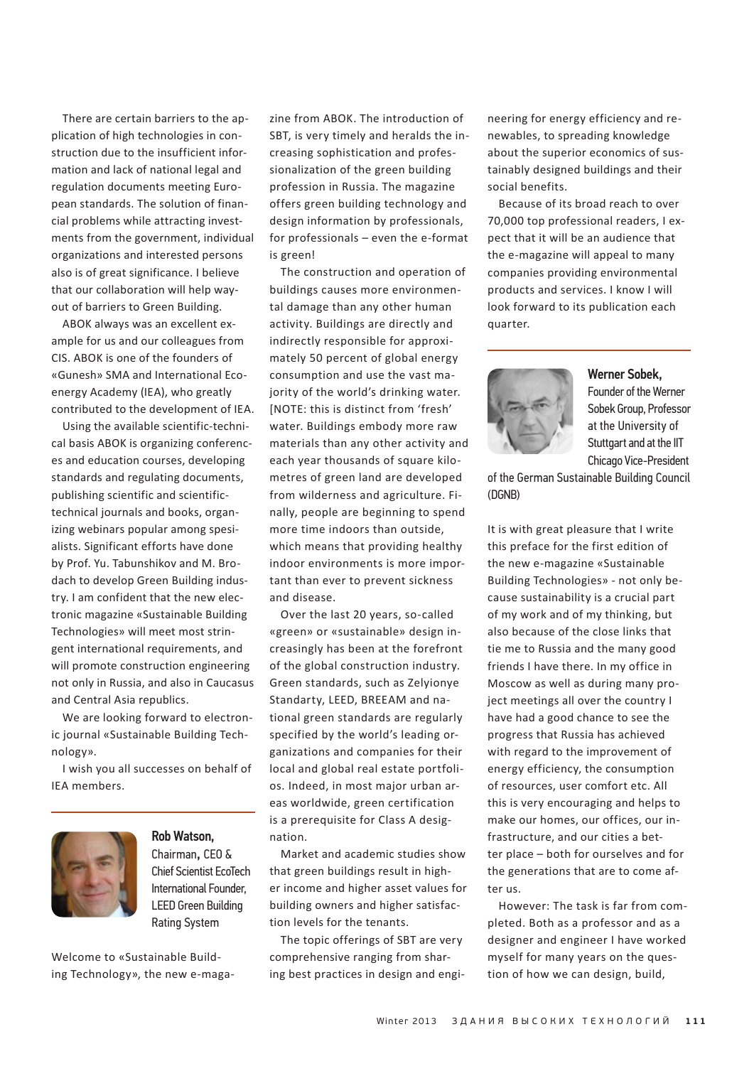There are certain barriers to the application of high technologies in construction due to the insufficient information and lack of national legal and regulation documents meeting European standards. The solution of financial problems while attracting investments from the government, individual organizations and interested persons also is of great significance. I believe that our collaboration will help wayout of barriers to Green Building.

[ABOK](http://www.abok.ru/eng) always was an excellent example for us and our colleagues from CIS. [ABOK](http://www.abok.ru/eng) is one of the founders of «Gunesh» SMA and International Ecoenergy Academy (IEA), who greatly contributed to the development of IEA.

Using the available scientific-technical basis [ABOK](http://www.abok.ru/eng) is organizing conferences and education courses, developing standards and regulating documents, publishing scientific and scientifictechnical journals and books, organizing webinars popular among spesialists. Significant efforts have done by Prof. Yu. Tabunshikov and M. Brodach to develop Green Building industry. I am confident that the new electronic magazine «Sustainable Building [Technologies» will meet most strin](zvt.abok.ru)gent international requirements, and will promote construction engineering not only in Russia, and also in Caucasus and Central Asia republics.

We are looking forward to electron[ic journal «Sustainable Building Tech](zvt.abok.ru)nology».

I wish you all successes on behalf of IEA members.



# Rob Watson, Chairman, CEO & Chief Scientist EcoTech International Founder, [LEED](http://new.usgbc.org/leed) Green Building Rating System

Welcome to «Sustainable Build[ing Technology», the new e-maga-](zvt.abok.ru) zine from [ABOK.](http://www.abok.ru/eng) The introduction of SBT, is very timely and heralds the increasing sophistication and professionalization of the green building profession in Russia. The magazine offers green building technology and design information by professionals, for professionals – even the e-format is green!

The construction and operation of buildings causes more environmental damage than any other human activity. Buildings are directly and indirectly responsible for approximately 50 percent of global energy consumption and use the vast majority of the world's drinking water. [NOTE: this is distinct from 'fresh' water. Buildings embody more raw materials than any other activity and each year thousands of square kilometres of green land are developed from wilderness and agriculture. Finally, people are beginning to spend more time indoors than outside, which means that providing healthy indoor environments is more important than ever to prevent sickness and disease.

Over the last 20 years, so-called «green» or «sustainable» design increasingly has been at the forefront of the global construction industry. Green standards, such as Zelyionye Standarty, LEED, BREEAM and national green standards are regularly specified by the world's leading organizations and companies for their local and global real estate portfolios. Indeed, in most major urban areas worldwide, green certification is a prerequisite for Class A designation.

Market and academic studies show that green buildings result in higher income and higher asset values for building owners and higher satisfaction levels for the tenants.

The topic offerings of SBT are very comprehensive ranging from sharing best practices in design and engineering for energy efficiency and renewables, to spreading knowledge about the superior economics of sustainably designed buildings and their social benefits.

Because of its broad reach to over 70,000 top professional readers, I expect that it will be an audience that the e-magazine will appeal to many companies providing environmental products and services. I know I will look forward to its publication each quarter.



#### Werner Sobek,

Founder of the Werner Sobek Group, Professor at the University of Stuttgart and at the IIT Chicago Vice-President

[of the German Sustainable Building Council](http://www.dgnb.de/de/)  (DGNB)

It is with great pleasure that I write this preface for the first edition of the new e-magazine «Sustainable [Building Technologies» - not only be](zvt.abok.ru)cause sustainability is a crucial part of my work and of my thinking, but also because of the close links that tie me to Russia and the many good friends I have there. In my office in Moscow as well as during many project meetings all over the country I have had a good chance to see the progress that Russia has achieved with regard to the improvement of energy efficiency, the consumption of resources, user comfort etc. All this is very encouraging and helps to make our homes, our offices, our infrastructure, and our cities a better place – both for ourselves and for the generations that are to come after us.

However: The task is far from completed. Both as a professor and as a designer and engineer I have worked myself for many years on the question of how we can design, build,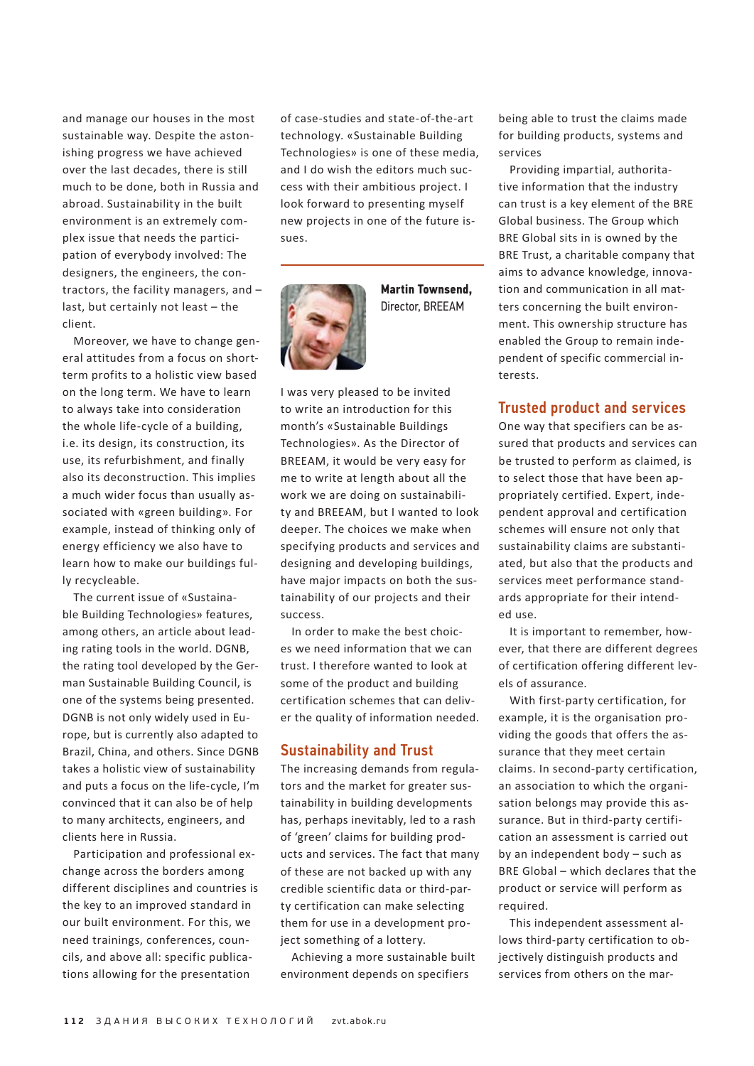and manage our houses in the most sustainable way. Despite the astonishing progress we have achieved over the last decades, there is still much to be done, both in Russia and abroad. Sustainability in the built environment is an extremely complex issue that needs the participation of everybody involved: The designers, the engineers, the contractors, the facility managers, and – last, but certainly not least – the client.

Moreover, we have to change general attitudes from a focus on shortterm profits to a holistic view based on the long term. We have to learn to always take into consideration the whole life-cycle of a building, i.e. its design, its construction, its use, its refurbishment, and finally also its deconstruction. This implies a much wider focus than usually associated with «green building». For example, instead of thinking only of energy efficiency we also have to learn how to make our buildings fully recycleable.

The current issue of «Sustaina[ble Building Technologies» features,](zvt.abok.ru) among others, an article about leading rating tools in the world. DGNB, the rating tool developed by the German Sustainable Building Council, is one of the systems being presented. DGNB is not only widely used in Europe, but is currently also adapted to Brazil, China, and others. Since DGNB takes a holistic view of sustainability and puts a focus on the life-cycle, I'm convinced that it can also be of help to many architects, engineers, and clients here in Russia.

Participation and professional exchange across the borders among different disciplines and countries is the key to an improved standard in our built environment. For this, we need trainings, conferences, councils, and above all: specific publications allowing for the presentation

of case-studies and state-of-the-art technology. «Sustainable Building [Technologies» is one of these media,](zvt.abok.ru)  and I do wish the editors much success with their ambitious project. I look forward to presenting myself new projects in one of the future issues.



**Martin Townsend,** Director[, BREEAM](http://www.breeam.org/)

I was very pleased to be invited to write an introduction for this month's «Sustainable Buildings [Technologies». As the Director of](zvt.abok.ru)  BREEAM, it would be very easy for me to write at length about all the work we are doing on sustainability and BREEAM, but I wanted to look deeper. The choices we make when specifying products and services and designing and developing buildings, have major impacts on both the sustainability of our projects and their success.

In order to make the best choices we need information that we can trust. I therefore wanted to look at some of the product and building certification schemes that can deliver the quality of information needed.

## Sustainability and Trust

The increasing demands from regulators and the market for greater sustainability in building developments has, perhaps inevitably, led to a rash of 'green' claims for building products and services. The fact that many of these are not backed up with any credible scientific data or third-party certification can make selecting them for use in a development project something of a lottery.

Achieving a more sustainable built environment depends on specifiers

being able to trust the claims made for building products, systems and services

Providing impartial, authoritative information that the industry can trust is a key element of the BRE Global business. The Group which BRE Global sits in is owned by the BRE Trust, a charitable company that aims to advance knowledge, innovation and communication in all matters concerning the built environment. This ownership structure has enabled the Group to remain independent of specific commercial interests.

## Trusted product and services

One way that specifiers can be assured that products and services can be trusted to perform as claimed, is to select those that have been appropriately certified. Expert, independent approval and certification schemes will ensure not only that sustainability claims are substantiated, but also that the products and services meet performance standards appropriate for their intended use.

It is important to remember, however, that there are different degrees of certification offering different levels of assurance.

With first-party certification, for example, it is the organisation providing the goods that offers the assurance that they meet certain claims. In second-party certification, an association to which the organisation belongs may provide this assurance. But in third-party certification an assessment is carried out by an independent body – such as BRE Global – which declares that the product or service will perform as required.

This independent assessment allows third-party certification to objectively distinguish products and services from others on the mar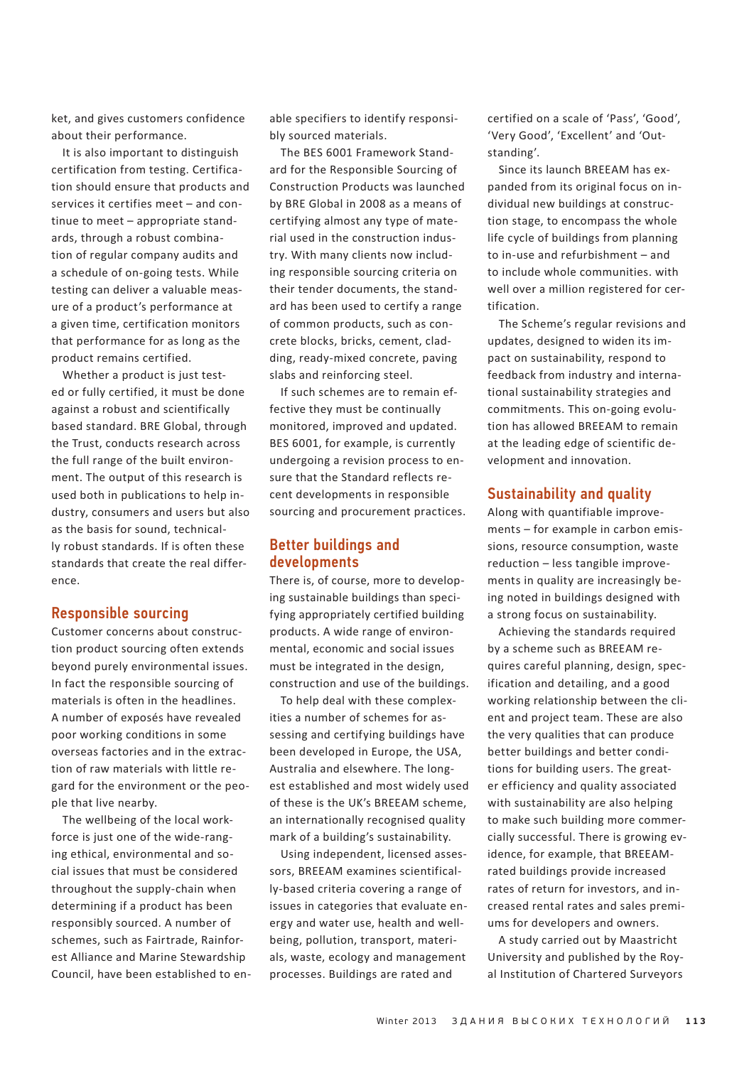ket, and gives customers confidence about their performance.

It is also important to distinguish certification from testing. Certification should ensure that products and services it certifies meet – and continue to meet – appropriate standards, through a robust combination of regular company audits and a schedule of on-going tests. While testing can deliver a valuable measure of a product's performance at a given time, certification monitors that performance for as long as the product remains certified.

Whether a product is just tested or fully certified, it must be done against a robust and scientifically based standard. BRE Global, through the Trust, conducts research across the full range of the built environment. The output of this research is used both in publications to help industry, consumers and users but also as the basis for sound, technically robust standards. If is often these standards that create the real difference.

#### Responsible sourcing

Customer concerns about construction product sourcing often extends beyond purely environmental issues. In fact the responsible sourcing of materials is often in the headlines. A number of exposés have revealed poor working conditions in some overseas factories and in the extraction of raw materials with little regard for the environment or the people that live nearby.

The wellbeing of the local workforce is just one of the wide-ranging ethical, environmental and social issues that must be considered throughout the supply-chain when determining if a product has been responsibly sourced. A number of schemes, such as Fairtrade, Rainforest Alliance and Marine Stewardship Council, have been established to enable specifiers to identify responsibly sourced materials.

The BES 6001 Framework Standard for the Responsible Sourcing of Construction Products was launched by BRE Global in 2008 as a means of certifying almost any type of material used in the construction industry. With many clients now including responsible sourcing criteria on their tender documents, the standard has been used to certify a range of common products, such as concrete blocks, bricks, cement, cladding, ready-mixed concrete, paving slabs and reinforcing steel.

If such schemes are to remain effective they must be continually monitored, improved and updated. BES 6001, for example, is currently undergoing a revision process to ensure that the Standard reflects recent developments in responsible sourcing and procurement practices.

## Better buildings and developments

There is, of course, more to developing sustainable buildings than specifying appropriately certified building products. A wide range of environmental, economic and social issues must be integrated in the design, construction and use of the buildings.

To help deal with these complexities a number of schemes for assessing and certifying buildings have been developed in Europe, the USA, Australia and elsewhere. The longest established and most widely used of these is the UK's BREEAM scheme, an internationally recognised quality mark of a building's sustainability.

Using independent, licensed assessors, BREEAM examines scientifically-based criteria covering a range of issues in categories that evaluate energy and water use, health and wellbeing, pollution, transport, materials, waste, ecology and management processes. Buildings are rated and

certified on a scale of 'Pass', 'Good', 'Very Good', 'Excellent' and 'Outstanding'.

Since its launch BREEAM has expanded from its original focus on individual new buildings at construction stage, to encompass the whole life cycle of buildings from planning to in-use and refurbishment – and to include whole communities. with well over a million registered for certification.

The Scheme's regular revisions and updates, designed to widen its impact on sustainability, respond to feedback from industry and international sustainability strategies and commitments. This on-going evolution has allowed BREEAM to remain at the leading edge of scientific development and innovation.

#### Sustainability and quality

Along with quantifiable improvements – for example in carbon emissions, resource consumption, waste reduction – less tangible improvements in quality are increasingly being noted in buildings designed with a strong focus on sustainability.

Achieving the standards required by a scheme such as BREEAM requires careful planning, design, specification and detailing, and a good working relationship between the client and project team. These are also the very qualities that can produce better buildings and better conditions for building users. The greater efficiency and quality associated with sustainability are also helping to make such building more commercially successful. There is growing evidence, for example, that BREEAMrated buildings provide increased rates of return for investors, and increased rental rates and sales premiums for developers and owners.

A study carried out by Maastricht University and published by the Royal Institution of Chartered Surveyors